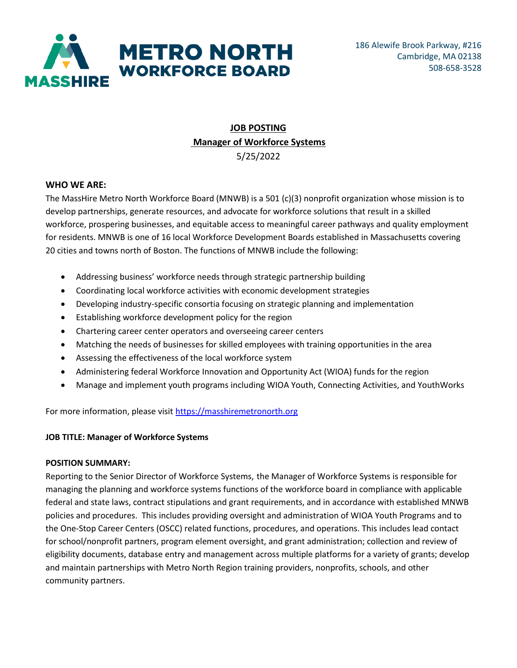

# **JOB POSTING Manager of Workforce Systems** 5/25/2022

### **WHO WE ARE:**

The MassHire Metro North Workforce Board (MNWB) is a 501 (c)(3) nonprofit organization whose mission is to develop partnerships, generate resources, and advocate for workforce solutions that result in a skilled workforce, prospering businesses, and equitable access to meaningful career pathways and quality employment for residents. MNWB is one of 16 local Workforce Development Boards established in Massachusetts covering 20 cities and towns north of Boston. The functions of MNWB include the following:

- Addressing business' workforce needs through strategic partnership building
- Coordinating local workforce activities with economic development strategies
- Developing industry-specific consortia focusing on strategic planning and implementation
- Establishing workforce development policy for the region
- Chartering career center operators and overseeing career centers
- Matching the needs of businesses for skilled employees with training opportunities in the area
- Assessing the effectiveness of the local workforce system
- Administering federal Workforce Innovation and Opportunity Act (WIOA) funds for the region
- Manage and implement youth programs including WIOA Youth, Connecting Activities, and YouthWorks

For more information, please visi[t https://masshiremetronorth.org](https://masshiremetronorth.org/)

### **JOB TITLE: Manager of Workforce Systems**

### **POSITION SUMMARY:**

Reporting to the Senior Director of Workforce Systems, the Manager of Workforce Systems is responsible for managing the planning and workforce systems functions of the workforce board in compliance with applicable federal and state laws, contract stipulations and grant requirements, and in accordance with established MNWB policies and procedures. This includes providing oversight and administration of WIOA Youth Programs and to the One-Stop Career Centers (OSCC) related functions, procedures, and operations. This includes lead contact for school/nonprofit partners, program element oversight, and grant administration; collection and review of eligibility documents, database entry and management across multiple platforms for a variety of grants; develop and maintain partnerships with Metro North Region training providers, nonprofits, schools, and other community partners.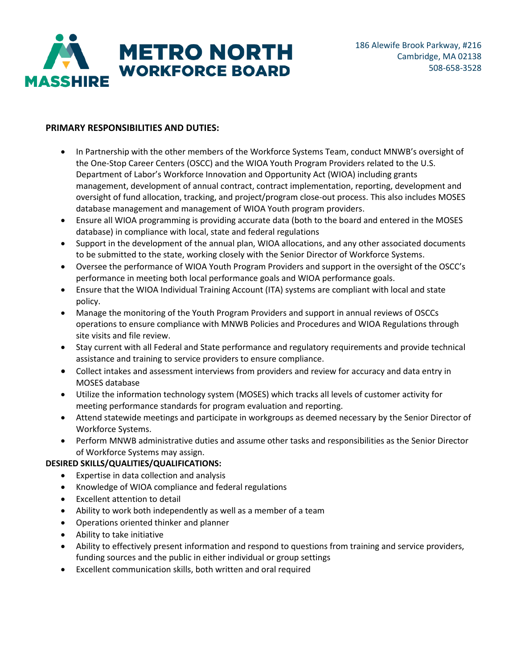

# **PRIMARY RESPONSIBILITIES AND DUTIES:**

- In Partnership with the other members of the Workforce Systems Team, conduct MNWB's oversight of the One-Stop Career Centers (OSCC) and the WIOA Youth Program Providers related to the U.S. Department of Labor's Workforce Innovation and Opportunity Act (WIOA) including grants management, development of annual contract, contract implementation, reporting, development and oversight of fund allocation, tracking, and project/program close-out process. This also includes MOSES database management and management of WIOA Youth program providers.
- Ensure all WIOA programming is providing accurate data (both to the board and entered in the MOSES database) in compliance with local, state and federal regulations
- Support in the development of the annual plan, WIOA allocations, and any other associated documents to be submitted to the state, working closely with the Senior Director of Workforce Systems.
- Oversee the performance of WIOA Youth Program Providers and support in the oversight of the OSCC's performance in meeting both local performance goals and WIOA performance goals.
- Ensure that the WIOA Individual Training Account (ITA) systems are compliant with local and state policy.
- Manage the monitoring of the Youth Program Providers and support in annual reviews of OSCCs operations to ensure compliance with MNWB Policies and Procedures and WIOA Regulations through site visits and file review.
- Stay current with all Federal and State performance and regulatory requirements and provide technical assistance and training to service providers to ensure compliance.
- Collect intakes and assessment interviews from providers and review for accuracy and data entry in MOSES database
- Utilize the information technology system (MOSES) which tracks all levels of customer activity for meeting performance standards for program evaluation and reporting.
- Attend statewide meetings and participate in workgroups as deemed necessary by the Senior Director of Workforce Systems.
- Perform MNWB administrative duties and assume other tasks and responsibilities as the Senior Director of Workforce Systems may assign.

# **DESIRED SKILLS/QUALITIES/QUALIFICATIONS:**

- Expertise in data collection and analysis
- Knowledge of WIOA compliance and federal regulations
- Excellent attention to detail
- Ability to work both independently as well as a member of a team
- Operations oriented thinker and planner
- Ability to take initiative
- Ability to effectively present information and respond to questions from training and service providers, funding sources and the public in either individual or group settings
- Excellent communication skills, both written and oral required